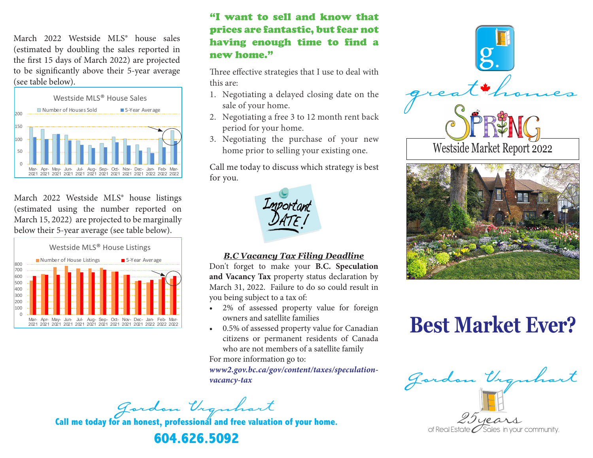March 2022 Westside MLS® house sales (estimated by doubling the sales reported in the first 15 days of March 2022) are projected to be significantly above their 5-year average (see table below).



March 2022 Westside MLS® house listings (estimated using the number reported on March 15, 2022) are projected to be marginally below their 5-year average (see table below).



### "I want to sell and know that prices are fantastic, but fear not having enough time to find a new home."

Three effective strategies that I use to deal with this are:

- 1. Negotiating a delayed closing date on the sale of your home.
- 2. Negotiating a free 3 to 12 month rent back period for your home.
- 3. Negotiating the purchase of your new home prior to selling your existing one.

Call me today to discuss which strategy is best for you.



#### *B.C Vacancy Tax Filing Deadline*

Don't forget to make your **B.C. Speculation and Vacancy Tax** property status declaration by March 31, 2022. Failure to do so could result in you being subject to a tax of:

- 2% of assessed property value for foreign owners and satellite families
- 0.5% of assessed property value for Canadian citizens or permanent residents of Canada who are not members of a satellite family

For more information go to: *www2.gov.bc.ca/gov/content/taxes/speculationvacancy-tax*

Gordon Urguhart **Call me today for an honest**, professional and free valuation of your home.





# **Best Market Ever?**

Gordon Urquhart

Sales in your community.